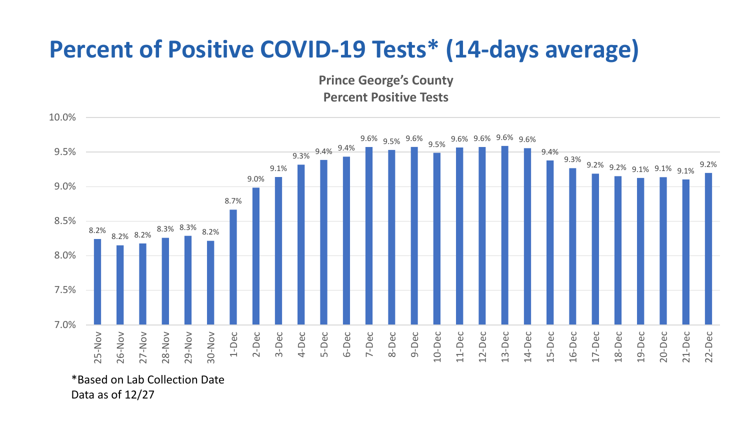## **Percent of Positive COVID-19 Tests\* (14-days average)**

**Prince George's County Percent Positive Tests**



\*Based on Lab Collection Date Data as of 12/27

10.0%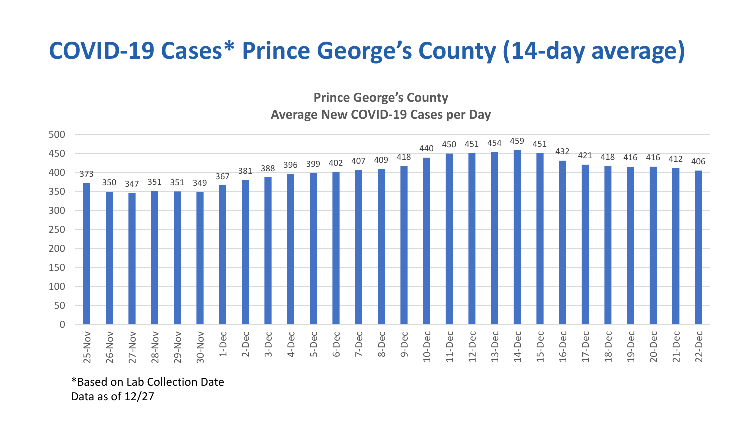## **COVID-19 Cases\* Prince George's County (14-day average)**

**Prince George's County Average New COVID-19 Cases per Day**



\*Based on Lab Collection Date Data as of 12/27